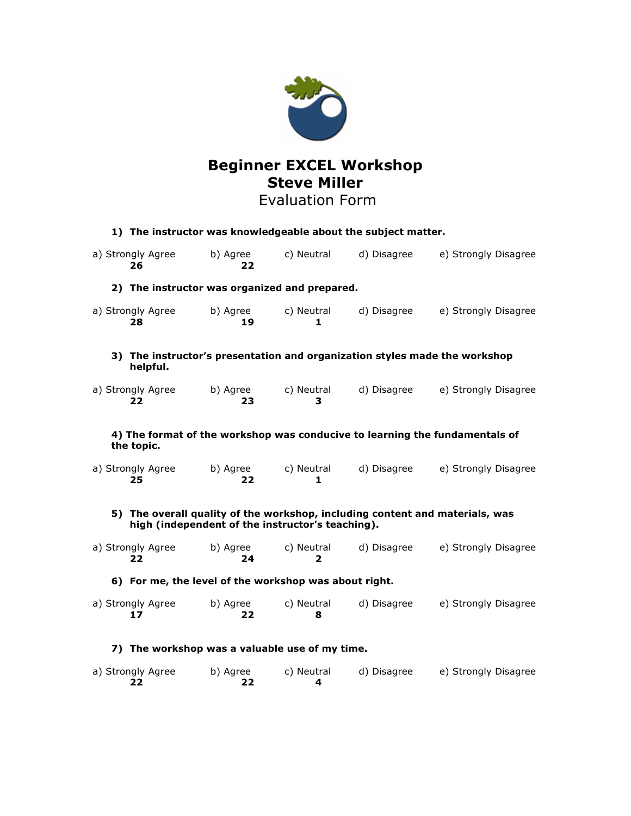

# **Steve Miller** Evaluation Form

| 1) The instructor was knowledgeable about the subject matter.                                                                    |                         |                |                 |             |                      |
|----------------------------------------------------------------------------------------------------------------------------------|-------------------------|----------------|-----------------|-------------|----------------------|
|                                                                                                                                  | a) Strongly Agree<br>26 | b) Agree<br>22 | c) Neutral      | d) Disagree | e) Strongly Disagree |
| 2) The instructor was organized and prepared.                                                                                    |                         |                |                 |             |                      |
|                                                                                                                                  | a) Strongly Agree<br>28 | b) Agree<br>19 | c) Neutral<br>1 | d) Disagree | e) Strongly Disagree |
| 3) The instructor's presentation and organization styles made the workshop<br>helpful.                                           |                         |                |                 |             |                      |
|                                                                                                                                  | a) Strongly Agree<br>22 | b) Agree<br>23 | c) Neutral<br>3 | d) Disagree | e) Strongly Disagree |
| 4) The format of the workshop was conducive to learning the fundamentals of<br>the topic.                                        |                         |                |                 |             |                      |
|                                                                                                                                  | a) Strongly Agree<br>25 | b) Agree<br>22 | c) Neutral<br>1 | d) Disagree | e) Strongly Disagree |
| 5) The overall quality of the workshop, including content and materials, was<br>high (independent of the instructor's teaching). |                         |                |                 |             |                      |
|                                                                                                                                  | a) Strongly Agree<br>22 | b) Agree<br>24 | c) Neutral<br>2 | d) Disagree | e) Strongly Disagree |
| 6) For me, the level of the workshop was about right.                                                                            |                         |                |                 |             |                      |
|                                                                                                                                  | a) Strongly Agree<br>17 | b) Agree<br>22 | c) Neutral<br>8 | d) Disagree | e) Strongly Disagree |
| 7) The workshop was a valuable use of my time.                                                                                   |                         |                |                 |             |                      |
|                                                                                                                                  | a) Strongly Agree<br>22 | b) Agree<br>22 | c) Neutral<br>4 | d) Disagree | e) Strongly Disagree |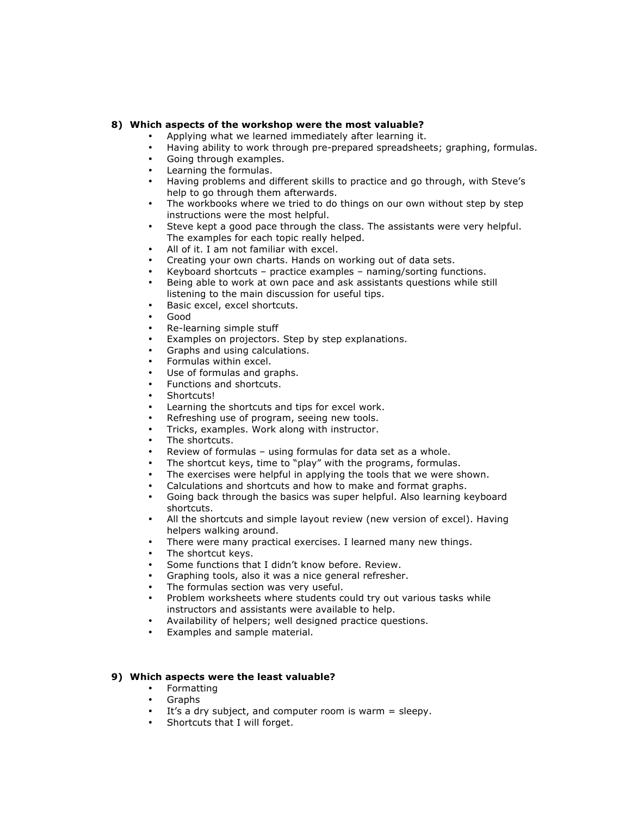### **8) Which aspects of the workshop were the most valuable?**

- Applying what we learned immediately after learning it.
- Having ability to work through pre-prepared spreadsheets; graphing, formulas.
- Going through examples.
- Learning the formulas.
- Having problems and different skills to practice and go through, with Steve's help to go through them afterwards.
- The workbooks where we tried to do things on our own without step by step instructions were the most helpful.
- Steve kept a good pace through the class. The assistants were very helpful. The examples for each topic really helped.
- All of it. I am not familiar with excel.
- Creating your own charts. Hands on working out of data sets.
- Keyboard shortcuts practice examples naming/sorting functions.
- Being able to work at own pace and ask assistants questions while still listening to the main discussion for useful tips.
- Basic excel, excel shortcuts.
- Good
- Re-learning simple stuff
- Examples on projectors. Step by step explanations.
- Graphs and using calculations.
- Formulas within excel.
- Use of formulas and graphs.
- Functions and shortcuts.
- Shortcuts!
- Learning the shortcuts and tips for excel work.
- Refreshing use of program, seeing new tools.
- Tricks, examples. Work along with instructor.
- The shortcuts.
- Review of formulas using formulas for data set as a whole.
- The shortcut keys, time to "play" with the programs, formulas.
- The exercises were helpful in applying the tools that we were shown.
- Calculations and shortcuts and how to make and format graphs.
- Going back through the basics was super helpful. Also learning keyboard shortcuts.
- All the shortcuts and simple layout review (new version of excel). Having helpers walking around.
- There were many practical exercises. I learned many new things.
- The shortcut keys.
- Some functions that I didn't know before. Review.
- Graphing tools, also it was a nice general refresher.
- The formulas section was very useful.
- Problem worksheets where students could try out various tasks while instructors and assistants were available to help.
- Availability of helpers; well designed practice questions.
- Examples and sample material.

### **9) Which aspects were the least valuable?**

- Formatting
- Graphs
- It's a dry subject, and computer room is warm  $=$  sleepy.<br>• Shortcuts that I will forget
- Shortcuts that I will forget.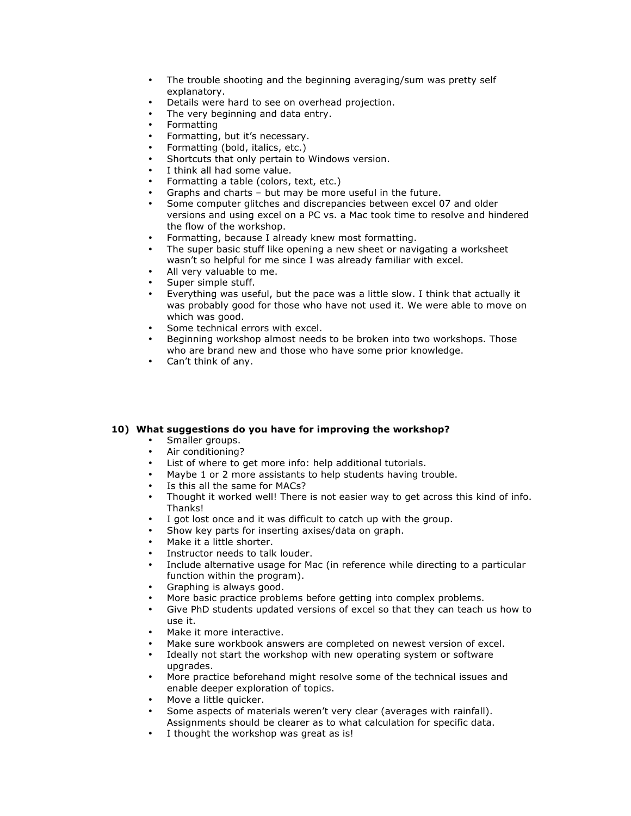- The trouble shooting and the beginning averaging/sum was pretty self explanatory.
- Details were hard to see on overhead projection.
- The very beginning and data entry.
- Formatting
- Formatting, but it's necessary.
- Formatting (bold, italics, etc.)
- Shortcuts that only pertain to Windows version.
- I think all had some value.
- Formatting a table (colors, text, etc.)
- Graphs and charts but may be more useful in the future.
- Some computer glitches and discrepancies between excel 07 and older versions and using excel on a PC vs. a Mac took time to resolve and hindered the flow of the workshop.
- Formatting, because I already knew most formatting.
- The super basic stuff like opening a new sheet or navigating a worksheet wasn't so helpful for me since I was already familiar with excel.
- All very valuable to me.
- Super simple stuff.
- Everything was useful, but the pace was a little slow. I think that actually it was probably good for those who have not used it. We were able to move on which was good.
- Some technical errors with excel.
- Beginning workshop almost needs to be broken into two workshops. Those who are brand new and those who have some prior knowledge.
- Can't think of any.

### **10) What suggestions do you have for improving the workshop?**

- Smaller groups.
- Air conditioning?
- List of where to get more info: help additional tutorials.
- Maybe 1 or 2 more assistants to help students having trouble.
- Is this all the same for MACs?
- Thought it worked well! There is not easier way to get across this kind of info. Thanks!
- I got lost once and it was difficult to catch up with the group.
- Show key parts for inserting axises/data on graph.
- Make it a little shorter.
- Instructor needs to talk louder.
- Include alternative usage for Mac (in reference while directing to a particular function within the program).
- Graphing is always good.
- More basic practice problems before getting into complex problems.
- Give PhD students updated versions of excel so that they can teach us how to use it.
- Make it more interactive.
- Make sure workbook answers are completed on newest version of excel.
- Ideally not start the workshop with new operating system or software upgrades.
- More practice beforehand might resolve some of the technical issues and enable deeper exploration of topics.
- Move a little quicker.
- Some aspects of materials weren't very clear (averages with rainfall). Assignments should be clearer as to what calculation for specific data.
- I thought the workshop was great as is!